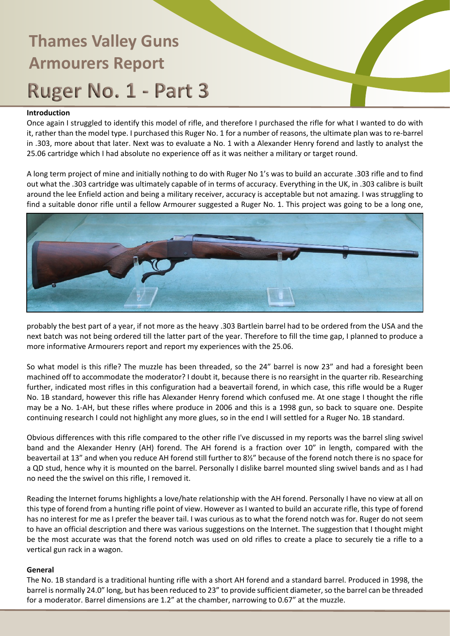### **Introduction**

Once again I struggled to identify this model of rifle, and therefore I purchased the rifle for what I wanted to do with it, rather than the model type. I purchased this Ruger No. 1 for a number of reasons, the ultimate plan was to re-barrel in .303, more about that later. Next was to evaluate a No. 1 with a Alexander Henry forend and lastly to analyst the 25.06 cartridge which I had absolute no experience off as it was neither a military or target round.

A long term project of mine and initially nothing to do with Ruger No 1's was to build an accurate .303 rifle and to find out what the .303 cartridge was ultimately capable of in terms of accuracy. Everything in the UK, in .303 calibre is built around the lee Enfield action and being a military receiver, accuracy is acceptable but not amazing. I was struggling to find a suitable donor rifle until a fellow Armourer suggested a Ruger No. 1. This project was going to be a long one,



probably the best part of a year, if not more as the heavy .303 Bartlein barrel had to be ordered from the USA and the next batch was not being ordered till the latter part of the year. Therefore to fill the time gap, I planned to produce a more informative Armourers report and report my experiences with the 25.06.

So what model is this rifle? The muzzle has been threaded, so the 24" barrel is now 23" and had a foresight been machined off to accommodate the moderator? I doubt it, because there is no rearsight in the quarter rib. Researching further, indicated most rifles in this configuration had a beavertail forend, in which case, this rifle would be a Ruger No. 1B standard, however this rifle has Alexander Henry forend which confused me. At one stage I thought the rifle may be a No. 1-AH, but these rifles where produce in 2006 and this is a 1998 gun, so back to square one. Despite continuing research I could not highlight any more glues, so in the end I will settled for a Ruger No. 1B standard.

Obvious differences with this rifle compared to the other rifle I've discussed in my reports was the barrel sling swivel band and the Alexander Henry (AH) forend. The AH forend is a fraction over 10" in length, compared with the beavertail at 13" and when you reduce AH forend still further to 8½" because of the forend notch there is no space for a QD stud, hence why it is mounted on the barrel. Personally I dislike barrel mounted sling swivel bands and as I had no need the the swivel on this rifle, I removed it.

Reading the Internet forums highlights a love/hate relationship with the AH forend. Personally I have no view at all on this type of forend from a hunting rifle point of view. However as I wanted to build an accurate rifle, this type of forend has no interest for me as I prefer the beaver tail. I was curious as to what the forend notch was for. Ruger do not seem to have an official description and there was various suggestions on the Internet. The suggestion that I thought might be the most accurate was that the forend notch was used on old rifles to create a place to securely tie a rifle to a vertical gun rack in a wagon.

#### **General**

The No. 1B standard is a traditional hunting rifle with a short AH forend and a standard barrel. Produced in 1998, the barrel is normally 24.0" long, but has been reduced to 23" to provide sufficient diameter, so the barrel can be threaded for a moderator. Barrel dimensions are 1.2" at the chamber, narrowing to 0.67" at the muzzle.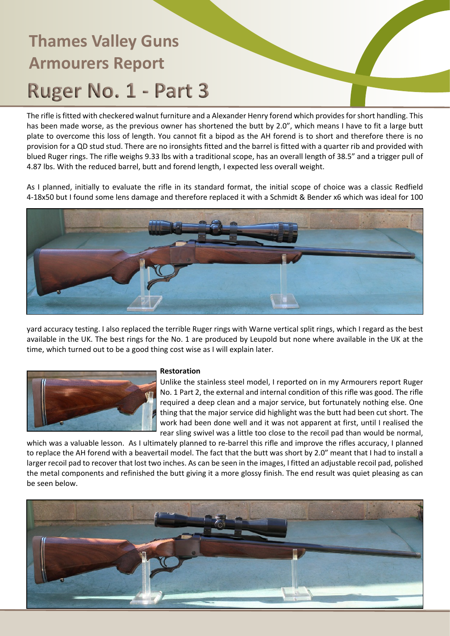The rifle is fitted with checkered walnut furniture and a Alexander Henry forend which provides for short handling. This has been made worse, as the previous owner has shortened the butt by 2.0", which means I have to fit a large butt plate to overcome this loss of length. You cannot fit a bipod as the AH forend is to short and therefore there is no provision for a QD stud stud. There are no ironsights fitted and the barrel is fitted with a quarter rib and provided with blued Ruger rings. The rifle weighs 9.33 lbs with a traditional scope, has an overall length of 38.5" and a trigger pull of 4.87 lbs. With the reduced barrel, butt and forend length, I expected less overall weight.

As I planned, initially to evaluate the rifle in its standard format, the initial scope of choice was a classic Redfield 4-18x50 but I found some lens damage and therefore replaced it with a Schmidt & Bender x6 which was ideal for 100



yard accuracy testing. I also replaced the terrible Ruger rings with Warne vertical split rings, which I regard as the best available in the UK. The best rings for the No. 1 are produced by Leupold but none where available in the UK at the time, which turned out to be a good thing cost wise as I will explain later.



#### **Restoration**

Unlike the stainless steel model, I reported on in my Armourers report Ruger No. 1 Part 2, the external and internal condition of this rifle was good. The rifle required a deep clean and a major service, but fortunately nothing else. One thing that the major service did highlight was the butt had been cut short. The work had been done well and it was not apparent at first, until I realised the rear sling swivel was a little too close to the recoil pad than would be normal,

which was a valuable lesson. As I ultimately planned to re-barrel this rifle and improve the rifles accuracy, I planned to replace the AH forend with a beavertail model. The fact that the butt was short by 2.0" meant that I had to install a larger recoil pad to recover that lost two inches. As can be seen in the images, I fitted an adjustable recoil pad, polished the metal components and refinished the butt giving it a more glossy finish. The end result was quiet pleasing as can be seen below.

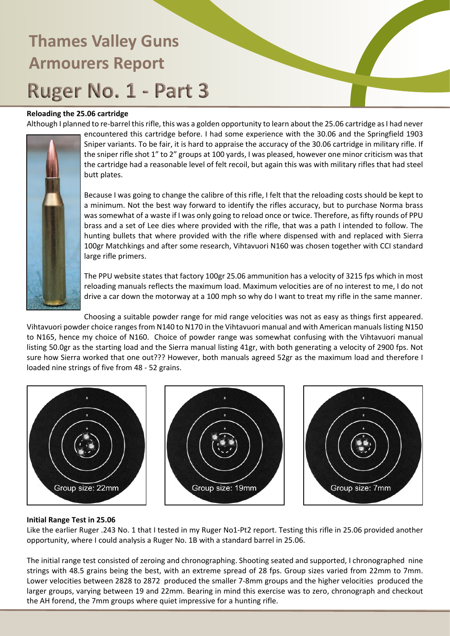### **Reloading the 25.06 cartridge**

Although I planned to re-barrel this rifle, this was a golden opportunity to learn about the 25.06 cartridge as I had never



encountered this cartridge before. I had some experience with the 30.06 and the Springfield 1903 Sniper variants. To be fair, it is hard to appraise the accuracy of the 30.06 cartridge in military rifle. If the sniper rifle shot 1" to 2" groups at 100 yards, I was pleased, however one minor criticism was that the cartridge had a reasonable level of felt recoil, but again this was with military rifles that had steel butt plates.

Because I was going to change the calibre of this rifle, I felt that the reloading costs should be kept to a minimum. Not the best way forward to identify the rifles accuracy, but to purchase Norma brass was somewhat of a waste if I was only going to reload once or twice. Therefore, as fifty rounds of PPU brass and a set of Lee dies where provided with the rifle, that was a path I intended to follow. The hunting bullets that where provided with the rifle where dispensed with and replaced with Sierra 100gr Matchkings and after some research, Vihtavuori N160 was chosen together with CCI standard large rifle primers.

The PPU website states that factory 100gr 25.06 ammunition has a velocity of 3215 fps which in most reloading manuals reflects the maximum load. Maximum velocities are of no interest to me, I do not drive a car down the motorway at a 100 mph so why do I want to treat my rifle in the same manner.

Choosing a suitable powder range for mid range velocities was not as easy as things first appeared. Vihtavuori powder choice ranges from N140 to N170 in the Vihtavuori manual and with American manuals listing N150 to N165, hence my choice of N160. Choice of powder range was somewhat confusing with the Vihtavuori manual listing 50.0gr as the starting load and the Sierra manual listing 41gr, with both generating a velocity of 2900 fps. Not sure how Sierra worked that one out??? However, both manuals agreed 52gr as the maximum load and therefore I loaded nine strings of five from 48 - 52 grains.



#### **Initial Range Test in 25.06**

Like the earlier Ruger .243 No. 1 that I tested in my Ruger No1-Pt2 report. Testing this rifle in 25.06 provided another opportunity, where I could analysis a Ruger No. 1B with a standard barrel in 25.06.

The initial range test consisted of zeroing and chronographing. Shooting seated and supported, I chronographed nine strings with 48.5 grains being the best, with an extreme spread of 28 fps. Group sizes varied from 22mm to 7mm. Lower velocities between 2828 to 2872 produced the smaller 7-8mm groups and the higher velocities produced the larger groups, varying between 19 and 22mm. Bearing in mind this exercise was to zero, chronograph and checkout the AH forend, the 7mm groups where quiet impressive for a hunting rifle.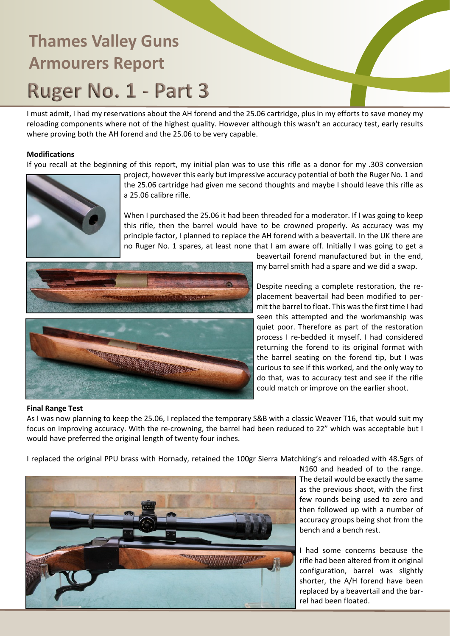I must admit, I had my reservations about the AH forend and the 25.06 cartridge, plus in my efforts to save money my reloading components where not of the highest quality. However although this wasn't an accuracy test, early results where proving both the AH forend and the 25.06 to be very capable.

### **Modifications**

If you recall at the beginning of this report, my initial plan was to use this rifle as a donor for my .303 conversion



project, however this early but impressive accuracy potential of both the Ruger No. 1 and the 25.06 cartridge had given me second thoughts and maybe I should leave this rifle as a 25.06 calibre rifle.

When I purchased the 25.06 it had been threaded for a moderator. If I was going to keep this rifle, then the barrel would have to be crowned properly. As accuracy was my principle factor, I planned to replace the AH forend with a beavertail. In the UK there are no Ruger No. 1 spares, at least none that I am aware off. Initially I was going to get a





beavertail forend manufactured but in the end, my barrel smith had a spare and we did a swap.

Despite needing a complete restoration, the replacement beavertail had been modified to permit the barrel to float. This was the first time I had seen this attempted and the workmanship was quiet poor. Therefore as part of the restoration process I re-bedded it myself. I had considered returning the forend to its original format with the barrel seating on the forend tip, but I was curious to see if this worked, and the only way to do that, was to accuracy test and see if the rifle could match or improve on the earlier shoot.

#### **Final Range Test**

As I was now planning to keep the 25.06, I replaced the temporary S&B with a classic Weaver T16, that would suit my focus on improving accuracy. With the re-crowning, the barrel had been reduced to 22" which was acceptable but I would have preferred the original length of twenty four inches.

I replaced the original PPU brass with Hornady, retained the 100gr Sierra Matchking's and reloaded with 48.5grs of



N160 and headed of to the range. The detail would be exactly the same as the previous shoot, with the first few rounds being used to zero and then followed up with a number of accuracy groups being shot from the bench and a bench rest.

I had some concerns because the rifle had been altered from it original configuration, barrel was slightly shorter, the A/H forend have been replaced by a beavertail and the barrel had been floated.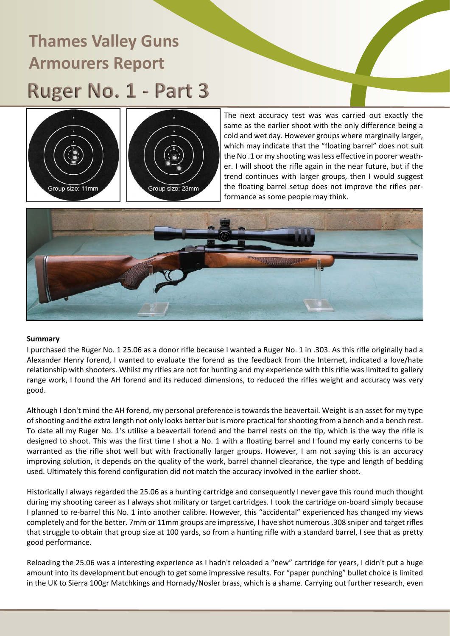



The next accuracy test was was carried out exactly the same as the earlier shoot with the only difference being a cold and wet day. However groups where marginally larger, which may indicate that the "floating barrel" does not suit the No .1 or my shooting was less effective in poorer weather. I will shoot the rifle again in the near future, but if the trend continues with larger groups, then I would suggest the floating barrel setup does not improve the rifles performance as some people may think.



#### **Summary**

I purchased the Ruger No. 1 25.06 as a donor rifle because I wanted a Ruger No. 1 in .303. As this rifle originally had a Alexander Henry forend, I wanted to evaluate the forend as the feedback from the Internet, indicated a love/hate relationship with shooters. Whilst my rifles are not for hunting and my experience with this rifle was limited to gallery range work, I found the AH forend and its reduced dimensions, to reduced the rifles weight and accuracy was very good.

Although I don't mind the AH forend, my personal preference is towards the beavertail. Weight is an asset for my type of shooting and the extra length not only looks better but is more practical for shooting from a bench and a bench rest. To date all my Ruger No. 1's utilise a beavertail forend and the barrel rests on the tip, which is the way the rifle is designed to shoot. This was the first time I shot a No. 1 with a floating barrel and I found my early concerns to be warranted as the rifle shot well but with fractionally larger groups. However, I am not saying this is an accuracy improving solution, it depends on the quality of the work, barrel channel clearance, the type and length of bedding used. Ultimately this forend configuration did not match the accuracy involved in the earlier shoot.

Historically I always regarded the 25.06 as a hunting cartridge and consequently I never gave this round much thought during my shooting career as I always shot military or target cartridges. I took the cartridge on-board simply because I planned to re-barrel this No. 1 into another calibre. However, this "accidental" experienced has changed my views completely and for the better. 7mm or 11mm groups are impressive, I have shot numerous .308 sniper and target rifles that struggle to obtain that group size at 100 yards, so from a hunting rifle with a standard barrel, I see that as pretty good performance.

Reloading the 25.06 was a interesting experience as I hadn't reloaded a "new" cartridge for years, I didn't put a huge amount into its development but enough to get some impressive results. For "paper punching" bullet choice is limited in the UK to Sierra 100gr Matchkings and Hornady/Nosler brass, which is a shame. Carrying out further research, even